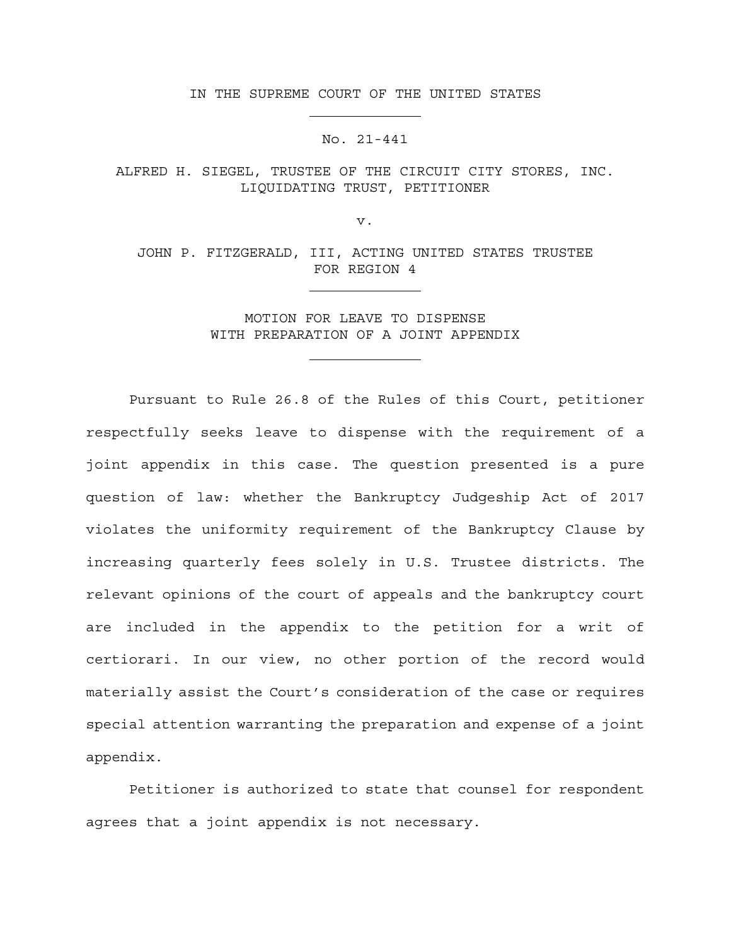IN THE SUPREME COURT OF THE UNITED STATES

## No. 21-441

ALFRED H. SIEGEL, TRUSTEE OF THE CIRCUIT CITY STORES, INC. LIQUIDATING TRUST, PETITIONER

v.

JOHN P. FITZGERALD, III, ACTING UNITED STATES TRUSTEE FOR REGION 4

> MOTION FOR LEAVE TO DISPENSE WITH PREPARATION OF A JOINT APPENDIX

Pursuant to Rule 26.8 of the Rules of this Court, petitioner respectfully seeks leave to dispense with the requirement of a joint appendix in this case. The question presented is a pure question of law: whether the Bankruptcy Judgeship Act of 2017 violates the uniformity requirement of the Bankruptcy Clause by increasing quarterly fees solely in U.S. Trustee districts. The relevant opinions of the court of appeals and the bankruptcy court are included in the appendix to the petition for a writ of certiorari. In our view, no other portion of the record would materially assist the Court's consideration of the case or requires special attention warranting the preparation and expense of a joint appendix.

Petitioner is authorized to state that counsel for respondent agrees that a joint appendix is not necessary.